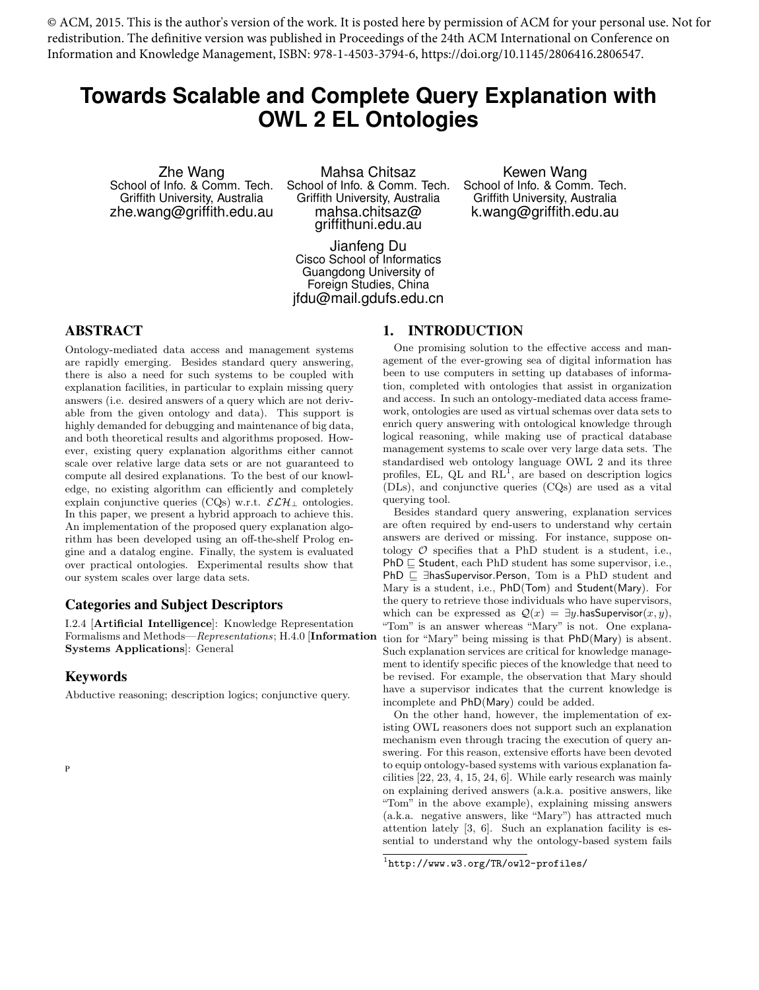© ACM, 2015. This is the author's version of the work. It is posted here by permission of ACM for your personal use. Not for redistribution. The definitive version was published in Proceedings of the 24th ACM International on Conference on Information and Knowledge Management, ISBN: 978-1-4503-3794-6, https://doi.org/10.1145/2806416.2806547.

# **Towards Scalable and Complete Query Explanation with OWL 2 EL Ontologies**

Zhe Wang School of Info. & Comm. Tech. Griffith University, Australia zhe.wang@griffith.edu.au

Mahsa Chitsaz School of Info. & Comm. Tech. Griffith University, Australia mahsa.chitsaz@ griffithuni.edu.au

Kewen Wang School of Info. & Comm. Tech. Griffith University, Australia k.wang@griffith.edu.au

Jianfeng Du Cisco School of Informatics Guangdong University of Foreign Studies, China jfdu@mail.gdufs.edu.cn

# ABSTRACT

Ontology-mediated data access and management systems are rapidly emerging. Besides standard query answering, there is also a need for such systems to be coupled with explanation facilities, in particular to explain missing query answers (i.e. desired answers of a query which are not derivable from the given ontology and data). This support is highly demanded for debugging and maintenance of big data, and both theoretical results and algorithms proposed. However, existing query explanation algorithms either cannot scale over relative large data sets or are not guaranteed to compute all desired explanations. To the best of our knowledge, no existing algorithm can efficiently and completely explain conjunctive queries (CQs) w.r.t.  $\mathcal{ELH}_\perp$  ontologies. In this paper, we present a hybrid approach to achieve this. An implementation of the proposed query explanation algorithm has been developed using an off-the-shelf Prolog engine and a datalog engine. Finally, the system is evaluated over practical ontologies. Experimental results show that our system scales over large data sets.

# Categories and Subject Descriptors

I.2.4 [Artificial Intelligence]: Knowledge Representation Formalisms and Methods—Representations; H.4.0 [Information Systems Applications]: General

#### Keywords

Abductive reasoning; description logics; conjunctive query.

P

1. INTRODUCTION

One promising solution to the effective access and management of the ever-growing sea of digital information has been to use computers in setting up databases of information, completed with ontologies that assist in organization and access. In such an ontology-mediated data access framework, ontologies are used as virtual schemas over data sets to enrich query answering with ontological knowledge through logical reasoning, while making use of practical database management systems to scale over very large data sets. The standardised web ontology language OWL 2 and its three profiles, EL,  $QL$  and  $RL<sup>1</sup>$ , are based on description logics (DLs), and conjunctive queries (CQs) are used as a vital querying tool.

Besides standard query answering, explanation services are often required by end-users to understand why certain answers are derived or missing. For instance, suppose ontology  $\mathcal O$  specifies that a PhD student is a student, i.e.,  $PhD \subseteq Student$ , each PhD student has some supervisor, i.e., PhD  $\sqsubseteq$  ∃hasSupervisor.Person, Tom is a PhD student and Mary is a student, i.e., PhD(Tom) and Student(Mary). For the query to retrieve those individuals who have supervisors, which can be expressed as  $\mathcal{Q}(x) = \exists y$ .hasSupervisor $(x, y)$ , "Tom" is an answer whereas "Mary" is not. One explanation for "Mary" being missing is that PhD(Mary) is absent. Such explanation services are critical for knowledge management to identify specific pieces of the knowledge that need to be revised. For example, the observation that Mary should have a supervisor indicates that the current knowledge is incomplete and PhD(Mary) could be added.

On the other hand, however, the implementation of existing OWL reasoners does not support such an explanation mechanism even through tracing the execution of query answering. For this reason, extensive efforts have been devoted to equip ontology-based systems with various explanation facilities [22, 23, 4, 15, 24, 6]. While early research was mainly on explaining derived answers (a.k.a. positive answers, like "Tom" in the above example), explaining missing answers (a.k.a. negative answers, like "Mary") has attracted much attention lately [3, 6]. Such an explanation facility is essential to understand why the ontology-based system fails

 $1$ http://www.w3.org/TR/owl2-profiles/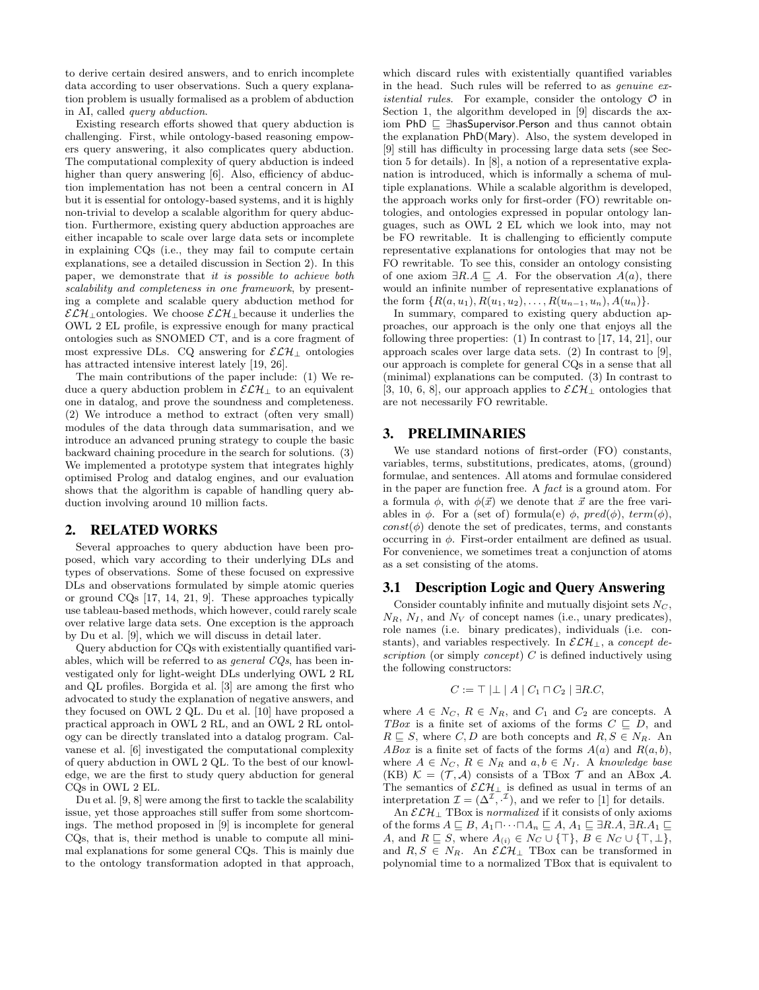to derive certain desired answers, and to enrich incomplete data according to user observations. Such a query explanation problem is usually formalised as a problem of abduction in AI, called query abduction.

Existing research efforts showed that query abduction is challenging. First, while ontology-based reasoning empowers query answering, it also complicates query abduction. The computational complexity of query abduction is indeed higher than query answering [6]. Also, efficiency of abduction implementation has not been a central concern in AI but it is essential for ontology-based systems, and it is highly non-trivial to develop a scalable algorithm for query abduction. Furthermore, existing query abduction approaches are either incapable to scale over large data sets or incomplete in explaining CQs (i.e., they may fail to compute certain explanations, see a detailed discussion in Section 2). In this paper, we demonstrate that it is possible to achieve both scalability and completeness in one framework, by presenting a complete and scalable query abduction method for  $\mathcal{ELH}\_$ untologies. We choose  $\mathcal{ELH}\_$ ubecause it underlies the OWL 2 EL profile, is expressive enough for many practical ontologies such as SNOMED CT, and is a core fragment of most expressive DLs. CQ answering for  $\mathcal{ELH}_\perp$  ontologies has attracted intensive interest lately [19, 26].

The main contributions of the paper include: (1) We reduce a query abduction problem in  $\mathcal{ELH}_{\perp}$  to an equivalent one in datalog, and prove the soundness and completeness. (2) We introduce a method to extract (often very small) modules of the data through data summarisation, and we introduce an advanced pruning strategy to couple the basic backward chaining procedure in the search for solutions. (3) We implemented a prototype system that integrates highly optimised Prolog and datalog engines, and our evaluation shows that the algorithm is capable of handling query abduction involving around 10 million facts.

#### 2. RELATED WORKS

Several approaches to query abduction have been proposed, which vary according to their underlying DLs and types of observations. Some of these focused on expressive DLs and observations formulated by simple atomic queries or ground CQs [17, 14, 21, 9]. These approaches typically use tableau-based methods, which however, could rarely scale over relative large data sets. One exception is the approach by Du et al. [9], which we will discuss in detail later.

Query abduction for CQs with existentially quantified variables, which will be referred to as general CQs, has been investigated only for light-weight DLs underlying OWL 2 RL and QL profiles. Borgida et al. [3] are among the first who advocated to study the explanation of negative answers, and they focused on OWL 2 QL. Du et al. [10] have proposed a practical approach in OWL 2 RL, and an OWL 2 RL ontology can be directly translated into a datalog program. Calvanese et al. [6] investigated the computational complexity of query abduction in OWL 2 QL. To the best of our knowledge, we are the first to study query abduction for general CQs in OWL 2 EL.

Du et al. [9, 8] were among the first to tackle the scalability issue, yet those approaches still suffer from some shortcomings. The method proposed in [9] is incomplete for general CQs, that is, their method is unable to compute all minimal explanations for some general CQs. This is mainly due to the ontology transformation adopted in that approach, which discard rules with existentially quantified variables in the head. Such rules will be referred to as genuine ex*istential rules.* For example, consider the ontology  $\mathcal O$  in Section 1, the algorithm developed in [9] discards the axiom PhD ⊑ ∃hasSupervisor.Person and thus cannot obtain the explanation PhD(Mary). Also, the system developed in [9] still has difficulty in processing large data sets (see Section 5 for details). In [8], a notion of a representative explanation is introduced, which is informally a schema of multiple explanations. While a scalable algorithm is developed, the approach works only for first-order (FO) rewritable ontologies, and ontologies expressed in popular ontology languages, such as OWL 2 EL which we look into, may not be FO rewritable. It is challenging to efficiently compute representative explanations for ontologies that may not be FO rewritable. To see this, consider an ontology consisting of one axiom  $\exists R.A \sqsubseteq A$ . For the observation  $A(a)$ , there would an infinite number of representative explanations of the form  $\{R(a, u_1), R(u_1, u_2), \ldots, R(u_{n-1}, u_n), A(u_n)\}.$ 

In summary, compared to existing query abduction approaches, our approach is the only one that enjoys all the following three properties: (1) In contrast to [17, 14, 21], our approach scales over large data sets. (2) In contrast to [9], our approach is complete for general CQs in a sense that all (minimal) explanations can be computed. (3) In contrast to [3, 10, 6, 8], our approach applies to  $\mathcal{ELH}_\perp$  ontologies that are not necessarily FO rewritable.

# 3. PRELIMINARIES

We use standard notions of first-order (FO) constants, variables, terms, substitutions, predicates, atoms, (ground) formulae, and sentences. All atoms and formulae considered in the paper are function free. A fact is a ground atom. For a formula  $\phi$ , with  $\phi(\vec{x})$  we denote that  $\vec{x}$  are the free variables in  $\phi$ . For a (set of) formula(e)  $\phi$ , pred( $\phi$ ), term( $\phi$ ),  $const(\phi)$  denote the set of predicates, terms, and constants occurring in  $\phi$ . First-order entailment are defined as usual. For convenience, we sometimes treat a conjunction of atoms as a set consisting of the atoms.

# 3.1 Description Logic and Query Answering

Consider countably infinite and mutually disjoint sets  $N_C$ ,  $N_R$ ,  $N_I$ , and  $N_V$  of concept names (i.e., unary predicates), role names (i.e. binary predicates), individuals (i.e. constants), and variables respectively. In  $\mathcal{ELH}_\perp$ , a concept description (or simply concept)  $C$  is defined inductively using the following constructors:

$$
C := \top |\bot| A | C_1 \sqcap C_2 | \exists R.C,
$$

where  $A \in N_C$ ,  $R \in N_R$ , and  $C_1$  and  $C_2$  are concepts. A TBox is a finite set of axioms of the forms  $C \subseteq D$ , and  $R \subseteq S$ , where C, D are both concepts and  $R, S \in N_R$ . An ABox is a finite set of facts of the forms  $A(a)$  and  $R(a, b)$ , where  $A \in N_C$ ,  $R \in N_R$  and  $a, b \in N_I$ . A knowledge base (KB)  $\mathcal{K} = (\mathcal{T}, \mathcal{A})$  consists of a TBox  $\mathcal{T}$  and an ABox  $\mathcal{A}$ . The semantics of  $\mathcal{ELH}_\perp$  is defined as usual in terms of an interpretation  $\mathcal{I} = (\Delta^{\mathcal{I}}, \cdot^{\mathcal{I}})$ , and we refer to [1] for details.

An  $\mathcal{ELH}_\perp$  TBox is normalized if it consists of only axioms of the forms  $A \sqsubseteq B$ ,  $A_1 \sqcap \cdots \sqcap A_n \sqsubseteq A$ ,  $A_1 \sqsubseteq \exists R.A$ ,  $\exists R.A_1 \sqsubseteq$ A, and  $R \subseteq S$ , where  $A_{(i)} \in N_C \cup \{\top\}, B \in N_C \cup \{\top, \bot\},\$ and  $R, S \in N_R$ . An  $\mathcal{ELH}_\perp$  TBox can be transformed in polynomial time to a normalized TBox that is equivalent to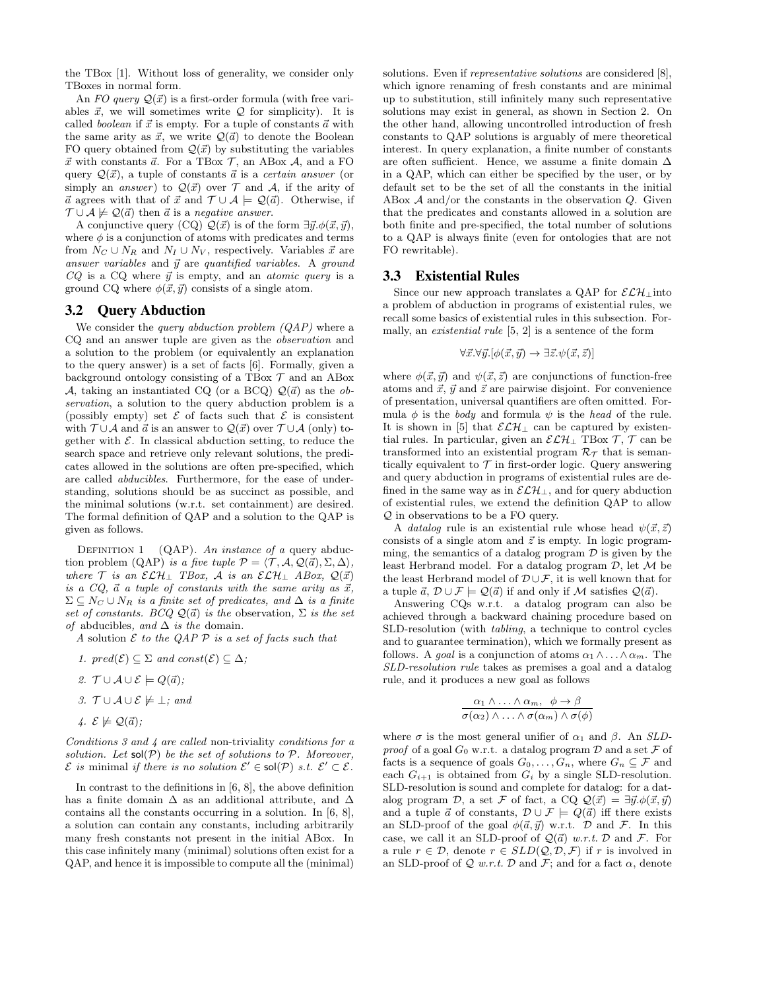the TBox [1]. Without loss of generality, we consider only TBoxes in normal form.

An FO query  $\mathcal{Q}(\vec{x})$  is a first-order formula (with free variables  $\vec{x}$ , we will sometimes write  $\mathcal Q$  for simplicity). It is called *boolean* if  $\vec{x}$  is empty. For a tuple of constants  $\vec{a}$  with the same arity as  $\vec{x}$ , we write  $\mathcal{Q}(\vec{a})$  to denote the Boolean FO query obtained from  $\mathcal{Q}(\vec{x})$  by substituting the variables  $\vec{x}$  with constants  $\vec{a}$ . For a TBox  $\mathcal{T}$ , an ABox  $\mathcal{A}$ , and a FO query  $\mathcal{Q}(\vec{x})$ , a tuple of constants  $\vec{a}$  is a *certain answer* (or simply an *answer*) to  $Q(\vec{x})$  over  $\mathcal T$  and  $\mathcal A$ , if the arity of  $\vec{a}$  agrees with that of  $\vec{x}$  and  $\mathcal{T} \cup \mathcal{A} \models \mathcal{Q}(\vec{a})$ . Otherwise, if  $\mathcal{T} \cup \mathcal{A} \not\models \mathcal{Q}(\vec{a})$  then  $\vec{a}$  is a negative answer.

A conjunctive query (CQ)  $\mathcal{Q}(\vec{x})$  is of the form  $\exists \vec{y}. \phi(\vec{x}, \vec{y}),$ where  $\phi$  is a conjunction of atoms with predicates and terms from  $N_C \cup N_R$  and  $N_I \cup N_V$ , respectively. Variables  $\vec{x}$  are answer variables and  $\vec{y}$  are quantified variables. A ground  $CQ$  is a CQ where  $\vec{y}$  is empty, and an *atomic query* is a ground CQ where  $\phi(\vec{x}, \vec{y})$  consists of a single atom.

## 3.2 Query Abduction

We consider the *query abduction problem (QAP)* where a CQ and an answer tuple are given as the observation and a solution to the problem (or equivalently an explanation to the query answer) is a set of facts [6]. Formally, given a background ontology consisting of a TBox  $\mathcal T$  and an ABox A, taking an instantiated CQ (or a BCQ)  $\mathcal{Q}(\vec{a})$  as the observation, a solution to the query abduction problem is a (possibly empty) set  $\mathcal E$  of facts such that  $\mathcal E$  is consistent with  $\mathcal{T} \cup \mathcal{A}$  and  $\vec{a}$  is an answer to  $\mathcal{Q}(\vec{x})$  over  $\mathcal{T} \cup \mathcal{A}$  (only) together with  $\mathcal{E}$ . In classical abduction setting, to reduce the search space and retrieve only relevant solutions, the predicates allowed in the solutions are often pre-specified, which are called abducibles. Furthermore, for the ease of understanding, solutions should be as succinct as possible, and the minimal solutions (w.r.t. set containment) are desired. The formal definition of QAP and a solution to the QAP is given as follows.

DEFINITION 1 (QAP). An instance of a query abduction problem (QAP) is a five tuple  $\mathcal{P} = \langle \mathcal{T}, \mathcal{A}, \mathcal{Q}(\vec{a}), \Sigma, \Delta \rangle$ , where  $\mathcal T$  is an  $\mathcal{ELH}_\perp$  TBox,  $\mathcal A$  is an  $\mathcal{ELH}_\perp$  ABox,  $\mathcal Q(\vec x)$ is a CQ,  $\vec{a}$  a tuple of constants with the same arity as  $\vec{x}$ ,  $\Sigma \subseteq N_C \cup N_R$  is a finite set of predicates, and  $\Delta$  is a finite set of constants. BCQ  $\mathcal{Q}(\vec{a})$  is the observation,  $\Sigma$  is the set of abducibles, and  $\Delta$  is the domain.

A solution  $\mathcal E$  to the QAP  $\mathcal P$  is a set of facts such that

- 1.  $pred(\mathcal{E}) \subseteq \Sigma$  and  $const(\mathcal{E}) \subseteq \Delta$ ;
- 2.  $\mathcal{T} \cup \mathcal{A} \cup \mathcal{E} \models Q(\vec{a})$ :
- 3.  $\mathcal{T} \cup \mathcal{A} \cup \mathcal{E} \not\models \bot$ ; and
- 4.  $\mathcal{E} \not\models \mathcal{Q}(\vec{a});$

Conditions 3 and 4 are called non-triviality conditions for a solution. Let  $sol(\mathcal{P})$  be the set of solutions to  $\mathcal{P}$ . Moreover,  $\mathcal E$  is minimal if there is no solution  $\mathcal E' \in sol(\mathcal P)$  s.t.  $\mathcal E' \subset \mathcal E$ .

In contrast to the definitions in [6, 8], the above definition has a finite domain  $\Delta$  as an additional attribute, and  $\Delta$ contains all the constants occurring in a solution. In [6, 8], a solution can contain any constants, including arbitrarily many fresh constants not present in the initial ABox. In this case infinitely many (minimal) solutions often exist for a QAP, and hence it is impossible to compute all the (minimal) solutions. Even if *representative solutions* are considered [8], which ignore renaming of fresh constants and are minimal up to substitution, still infinitely many such representative solutions may exist in general, as shown in Section 2. On the other hand, allowing uncontrolled introduction of fresh constants to QAP solutions is arguably of mere theoretical interest. In query explanation, a finite number of constants are often sufficient. Hence, we assume a finite domain ∆ in a QAP, which can either be specified by the user, or by default set to be the set of all the constants in the initial ABox  $\mathcal A$  and/or the constants in the observation  $Q$ . Given that the predicates and constants allowed in a solution are both finite and pre-specified, the total number of solutions to a QAP is always finite (even for ontologies that are not FO rewritable).

#### 3.3 Existential Rules

Since our new approach translates a QAP for  $\mathcal{ELH}$ <sub>⊥</sub> into a problem of abduction in programs of existential rules, we recall some basics of existential rules in this subsection. Formally, an existential rule [5, 2] is a sentence of the form

$$
\forall \vec{x}.\forall \vec{y}.[\phi(\vec{x},\vec{y}) \rightarrow \exists \vec{z}.\psi(\vec{x},\vec{z})]
$$

where  $\phi(\vec{x}, \vec{y})$  and  $\psi(\vec{x}, \vec{z})$  are conjunctions of function-free atoms and  $\vec{x}$ ,  $\vec{y}$  and  $\vec{z}$  are pairwise disjoint. For convenience of presentation, universal quantifiers are often omitted. Formula  $\phi$  is the body and formula  $\psi$  is the head of the rule. It is shown in [5] that  $\mathcal{ELH}_\perp$  can be captured by existential rules. In particular, given an  $\mathcal{ELH}_\perp$  TBox  $\mathcal{T}, \mathcal{T}$  can be transformed into an existential program  $\mathcal{R}_{\mathcal{T}}$  that is semantically equivalent to  $\mathcal T$  in first-order logic. Query answering and query abduction in programs of existential rules are defined in the same way as in  $\mathcal{ELH}_\perp$ , and for query abduction of existential rules, we extend the definition QAP to allow Q in observations to be a FO query.

A *datalog* rule is an existential rule whose head  $\psi(\vec{x}, \vec{z})$ consists of a single atom and  $\vec{z}$  is empty. In logic programming, the semantics of a datalog program  $\mathcal D$  is given by the least Herbrand model. For a datalog program  $D$ , let  $M$  be the least Herbrand model of  $\mathcal{D} \cup \mathcal{F}$ , it is well known that for a tuple  $\vec{a}, \mathcal{D} \cup \mathcal{F} \models \mathcal{Q}(\vec{a})$  if and only if M satisfies  $\mathcal{Q}(\vec{a})$ .

Answering CQs w.r.t. a datalog program can also be achieved through a backward chaining procedure based on SLD-resolution (with tabling, a technique to control cycles and to guarantee termination), which we formally present as follows. A goal is a conjunction of atoms  $\alpha_1 \wedge \ldots \wedge \alpha_m$ . The SLD-resolution rule takes as premises a goal and a datalog rule, and it produces a new goal as follows

$$
\frac{\alpha_1 \wedge \ldots \wedge \alpha_m, \phi \rightarrow \beta}{\sigma(\alpha_2) \wedge \ldots \wedge \sigma(\alpha_m) \wedge \sigma(\phi)}
$$

where  $\sigma$  is the most general unifier of  $\alpha_1$  and  $\beta$ . An SLDproof of a goal  $G_0$  w.r.t. a datalog program  $D$  and a set  $\mathcal F$  of facts is a sequence of goals  $G_0, \ldots, G_n$ , where  $G_n \subseteq \mathcal{F}$  and each  $G_{i+1}$  is obtained from  $G_i$  by a single SLD-resolution. SLD-resolution is sound and complete for datalog: for a datalog program D, a set F of fact, a CQ  $\mathcal{Q}(\vec{x}) = \exists \vec{y}.\phi(\vec{x}, \vec{y})$ and a tuple  $\vec{a}$  of constants,  $\mathcal{D} \cup \mathcal{F} \models Q(\vec{a})$  iff there exists an SLD-proof of the goal  $\phi(\vec{a}, \vec{y})$  w.r.t.  $\mathcal D$  and  $\mathcal F$ . In this case, we call it an SLD-proof of  $\mathcal{Q}(\vec{a})$  w.r.t. D and F. For a rule  $r \in \mathcal{D}$ , denote  $r \in SLD(\mathcal{Q}, \mathcal{D}, \mathcal{F})$  if r is involved in an SLD-proof of  $Q$  w.r.t.  $D$  and  $\mathcal{F}$ ; and for a fact  $\alpha$ , denote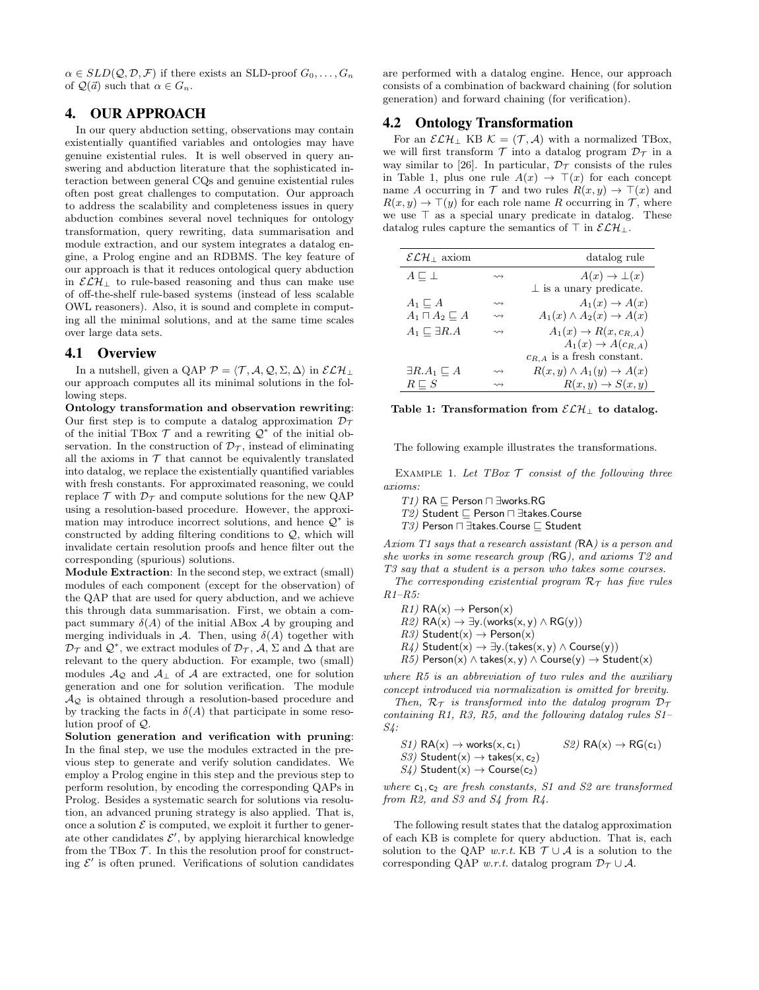$\alpha \in SLD(\mathcal{Q}, \mathcal{D}, \mathcal{F})$  if there exists an SLD-proof  $G_0, \ldots, G_n$ of  $\mathcal{Q}(\vec{a})$  such that  $\alpha \in G_n$ .

# 4. OUR APPROACH

In our query abduction setting, observations may contain existentially quantified variables and ontologies may have genuine existential rules. It is well observed in query answering and abduction literature that the sophisticated interaction between general CQs and genuine existential rules often post great challenges to computation. Our approach to address the scalability and completeness issues in query abduction combines several novel techniques for ontology transformation, query rewriting, data summarisation and module extraction, and our system integrates a datalog engine, a Prolog engine and an RDBMS. The key feature of our approach is that it reduces ontological query abduction in  $\mathcal{ELH}_{\perp}$  to rule-based reasoning and thus can make use of off-the-shelf rule-based systems (instead of less scalable OWL reasoners). Also, it is sound and complete in computing all the minimal solutions, and at the same time scales over large data sets.

#### 4.1 Overview

In a nutshell, given a QAP  $\mathcal{P} = \langle \mathcal{T}, \mathcal{A}, \mathcal{Q}, \Sigma, \Delta \rangle$  in  $\mathcal{ELH}_\perp$ our approach computes all its minimal solutions in the following steps.

Ontology transformation and observation rewriting: Our first step is to compute a datalog approximation  $\mathcal{D}_{\mathcal{T}}$ of the initial TBox  $\mathcal T$  and a rewriting  $\mathcal Q^*$  of the initial observation. In the construction of  $\mathcal{D}_{\mathcal{T}}$ , instead of eliminating all the axioms in  $T$  that cannot be equivalently translated into datalog, we replace the existentially quantified variables with fresh constants. For approximated reasoning, we could replace  $\mathcal T$  with  $\mathcal D_{\mathcal T}$  and compute solutions for the new QAP using a resolution-based procedure. However, the approximation may introduce incorrect solutions, and hence  $\mathcal{Q}^*$  is constructed by adding filtering conditions to  $Q$ , which will invalidate certain resolution proofs and hence filter out the corresponding (spurious) solutions.

Module Extraction: In the second step, we extract (small) modules of each component (except for the observation) of the QAP that are used for query abduction, and we achieve this through data summarisation. First, we obtain a compact summary  $\delta(A)$  of the initial ABox A by grouping and merging individuals in A. Then, using  $\delta(A)$  together with  $\mathcal{D}_{\mathcal{T}}$  and  $\mathcal{Q}^*$ , we extract modules of  $\mathcal{D}_{\mathcal{T}}$ ,  $\mathcal{A}, \Sigma$  and  $\Delta$  that are relevant to the query abduction. For example, two (small) modules  $\mathcal{A}_{\mathcal{Q}}$  and  $\mathcal{A}_{\perp}$  of  $\mathcal{A}$  are extracted, one for solution generation and one for solution verification. The module  $\mathcal{A}_{\mathcal{Q}}$  is obtained through a resolution-based procedure and by tracking the facts in  $\delta(A)$  that participate in some resolution proof of Q.

Solution generation and verification with pruning: In the final step, we use the modules extracted in the previous step to generate and verify solution candidates. We employ a Prolog engine in this step and the previous step to perform resolution, by encoding the corresponding QAPs in Prolog. Besides a systematic search for solutions via resolution, an advanced pruning strategy is also applied. That is, once a solution  $\mathcal E$  is computed, we exploit it further to generate other candidates  $\mathcal{E}',$  by applying hierarchical knowledge from the TBox  $\mathcal T$ . In this the resolution proof for constructing  $\mathcal{E}'$  is often pruned. Verifications of solution candidates

are performed with a datalog engine. Hence, our approach consists of a combination of backward chaining (for solution generation) and forward chaining (for verification).

#### 4.2 Ontology Transformation

For an  $\mathcal{ELH}_\perp$  KB  $\mathcal{K} = (\mathcal{T}, \mathcal{A})$  with a normalized TBox, we will first transform  $\mathcal T$  into a datalog program  $\mathcal D_{\mathcal T}$  in a way similar to [26]. In particular,  $\mathcal{D}_{\mathcal{T}}$  consists of the rules in Table 1, plus one rule  $A(x) \rightarrow \top(x)$  for each concept name A occurring in  $\mathcal T$  and two rules  $R(x, y) \to \top(x)$  and  $R(x, y) \rightarrow \top(y)$  for each role name R occurring in T, where we use  $\top$  as a special unary predicate in datalog. These datalog rules capture the semantics of  $\top$  in  $\mathcal{ELH}$ <sub>1</sub>.

| $\mathcal{ELH}_\perp$ axiom    |                    | datalog rule                             |
|--------------------------------|--------------------|------------------------------------------|
| $A \sqsubset \bot$             | $\rightsquigarrow$ | $A(x) \rightarrow \perp(x)$              |
|                                |                    | $\perp$ is a unary predicate.            |
| $A_1 \sqsubset A$              | $\rightsquigarrow$ | $A_1(x) \rightarrow A(x)$                |
| $A_1 \sqcap A_2 \sqsubseteq A$ | $\rightsquigarrow$ | $A_1(x) \wedge A_2(x) \rightarrow A(x)$  |
| $A_1 \sqsubset \exists R.A$    | $\rightsquigarrow$ | $A_1(x) \rightarrow R(x,c_{R,A})$        |
|                                |                    | $A_1(x) \rightarrow A(c_{R,A})$          |
|                                |                    | $c_{R,A}$ is a fresh constant.           |
| $\exists R.A_1 \sqsubset A$    | $\rightsquigarrow$ | $R(x, y) \wedge A_1(y) \rightarrow A(x)$ |
| $R \sqsubset S$                |                    | $R(x, y) \rightarrow S(x, y)$            |

Table 1: Transformation from  $\mathcal{ELH}_\perp$  to datalog.

The following example illustrates the transformations.

EXAMPLE 1. Let TBox  $T$  consist of the following three axioms:

 $T1)$  RA  $\sqsubseteq$  Person  $\sqcap$  ∃works.RG

 $T2$ ) Student  $□$  Person  $□$  ∃takes.Course

 $T3$ ) Person  $□$  ∃takes.Course  $□$  Student

Axiom T1 says that a research assistant (RA) is a person and she works in some research group (RG), and axioms T2 and T3 say that a student is a person who takes some courses.

The corresponding existential program  $\mathcal{R}_{\tau}$  has five rules  $R1-R5$ :

 $R1)$  RA(x)  $\rightarrow$  Person(x)

 $R2)$  RA(x)  $\rightarrow \exists y.$ (works(x, y)  $\land$  RG(y))

 $R3)$  Student(x)  $\rightarrow$  Person(x)

 $R_4$ ) Student(x)  $\rightarrow \exists y.$ (takes(x, y)  $\land$  Course(y))

 $R5)$  Person(x)  $\land$  takes(x, y)  $\land$  Course(y)  $\rightarrow$  Student(x)

where R5 is an abbreviation of two rules and the auxiliary concept introduced via normalization is omitted for brevity.

Then,  $\mathcal{R}_{\mathcal{T}}$  is transformed into the datalog program  $\mathcal{D}_{\mathcal{T}}$ containing R1, R3, R5, and the following datalog rules S1– S4:

$$
SI) RA(x) \rightarrow \text{works}(x, c_1)
$$
  
\n
$$
S3) Student(x) \rightarrow takes(x, c_2)
$$
  
\n
$$
S4) Student(x) \rightarrow Course(c_2)
$$
  
\n
$$
SI) Statex = (x, c_2)
$$

where  $c_1, c_2$  are fresh constants, S1 and S2 are transformed from  $R2$ , and  $S3$  and  $S4$  from  $R4$ .

The following result states that the datalog approximation of each KB is complete for query abduction. That is, each solution to the QAP w.r.t. KB  $\mathcal{T} \cup \mathcal{A}$  is a solution to the corresponding QAP w.r.t. datalog program  $\mathcal{D}_{\mathcal{T}} \cup \mathcal{A}$ .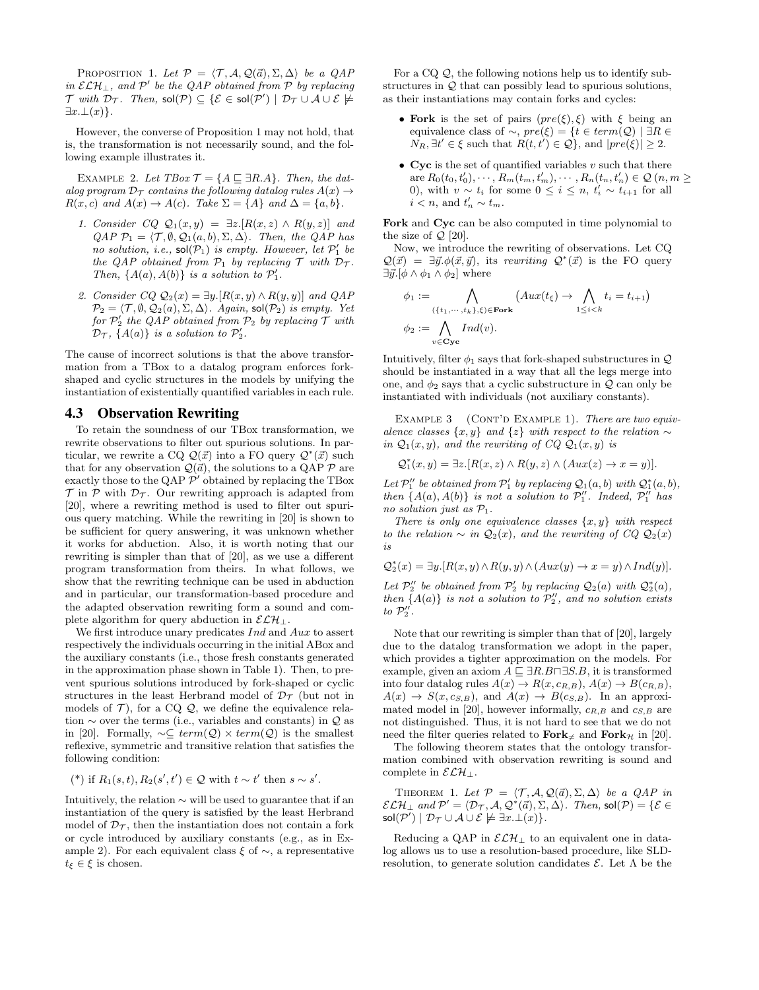PROPOSITION 1. Let  $\mathcal{P} = \langle \mathcal{T}, \mathcal{A}, \mathcal{Q}(\vec{a}), \Sigma, \Delta \rangle$  be a  $QAP$ in  $\mathcal{ELH}_\perp$ , and  $\mathcal{P}'$  be the QAP obtained from  $\mathcal P$  by replacing  $\mathcal T$  with  $\mathcal D_{\mathcal T}.$  Then,  $\mathsf{sol}(\mathcal P) \subseteq \{\mathcal E \in \mathsf{sol}(\mathcal P') \mid \mathcal D_{\mathcal T} \cup \mathcal A \cup \mathcal E \not\models \emptyset\}$  $\exists x.\bot(x)\}.$ 

However, the converse of Proposition 1 may not hold, that is, the transformation is not necessarily sound, and the following example illustrates it.

EXAMPLE 2. Let  $TBox \mathcal{T} = \{A \sqsubseteq \exists R.A\}$ . Then, the datalog program  $\mathcal{D}_{\mathcal{T}}$  contains the following datalog rules  $A(x) \rightarrow$  $R(x, c)$  and  $A(x) \rightarrow A(c)$ . Take  $\Sigma = \{A\}$  and  $\Delta = \{a, b\}$ .

- 1. Consider CQ  $\mathcal{Q}_1(x,y) = \exists z . [R(x,z) \wedge R(y,z)]$  and  $QAP P_1 = \langle T, \emptyset, Q_1(a, b), \Sigma, \Delta \rangle$ . Then, the QAP has no solution, i.e.,  $sol(\mathcal{P}_1)$  is empty. However, let  $\mathcal{P}'_1$  be the QAP obtained from  $P_1$  by replacing  $T$  with  $D_T$ . Then,  $\{A(a), A(b)\}\$ is a solution to  $\mathcal{P}'_1$ .
- 2. Consider  $CQ \mathcal{Q}_2(x) = \exists y . [R(x, y) \wedge R(y, y)]$  and  $QAP$  $\mathcal{P}_2 = \langle \mathcal{T}, \emptyset, \mathcal{Q}_2(a), \Sigma, \Delta \rangle$ . Again, sol $(\mathcal{P}_2)$  is empty. Yet for  $\mathcal{P}_2'$  the QAP obtained from  $\mathcal{P}_2$  by replacing  $\mathcal T$  with  $\mathcal{D}_{\mathcal{T}}$ , {A(a)} is a solution to  $\mathcal{P}'_2$ .

The cause of incorrect solutions is that the above transformation from a TBox to a datalog program enforces forkshaped and cyclic structures in the models by unifying the instantiation of existentially quantified variables in each rule.

### 4.3 Observation Rewriting

To retain the soundness of our TBox transformation, we rewrite observations to filter out spurious solutions. In particular, we rewrite a CQ  $\mathcal{Q}(\vec{x})$  into a FO query  $\mathcal{Q}^*(\vec{x})$  such that for any observation  $\mathcal{Q}(\vec{a})$ , the solutions to a QAP  $\mathcal P$  are exactly those to the QAP  $\mathcal{P}'$  obtained by replacing the TBox  $\mathcal T$  in  $\mathcal P$  with  $\mathcal D_{\mathcal T}$ . Our rewriting approach is adapted from [20], where a rewriting method is used to filter out spurious query matching. While the rewriting in [20] is shown to be sufficient for query answering, it was unknown whether it works for abduction. Also, it is worth noting that our rewriting is simpler than that of [20], as we use a different program transformation from theirs. In what follows, we show that the rewriting technique can be used in abduction and in particular, our transformation-based procedure and the adapted observation rewriting form a sound and complete algorithm for query abduction in  $\mathcal{ELH}_\perp$ .

We first introduce unary predicates Ind and Aux to assert respectively the individuals occurring in the initial ABox and the auxiliary constants (i.e., those fresh constants generated in the approximation phase shown in Table 1). Then, to prevent spurious solutions introduced by fork-shaped or cyclic structures in the least Herbrand model of  $\mathcal{D}_{\mathcal{T}}$  (but not in models of  $\mathcal{T}$ ), for a CQ  $\mathcal{Q}$ , we define the equivalence relation  $\sim$  over the terms (i.e., variables and constants) in  $\mathcal Q$  as in [20]. Formally,  $\sim \subseteq \text{term}(Q) \times \text{term}(Q)$  is the smallest reflexive, symmetric and transitive relation that satisfies the following condition:

<sup>\*</sup>) if 
$$
R_1(s,t), R_2(s',t') \in \mathcal{Q}
$$
 with  $t \sim t'$  then  $s \sim s'$ .

Intuitively, the relation ∼ will be used to guarantee that if an instantiation of the query is satisfied by the least Herbrand model of  $\mathcal{D}_{\mathcal{T}}$ , then the instantiation does not contain a fork or cycle introduced by auxiliary constants (e.g., as in Example 2). For each equivalent class  $\xi$  of  $\sim$ , a representative  $t_{\xi} \in \xi$  is chosen.

For a CQ  $\mathcal{Q}$ , the following notions help us to identify substructures in  $\mathcal{Q}$  that can possibly lead to spurious solutions, as their instantiations may contain forks and cycles:

- Fork is the set of pairs  $(pre(\xi), \xi)$  with  $\xi$  being an equivalence class of  $\sim$ ,  $pre(\xi) = \{t \in term(Q) \mid \exists R \in$  $N_R$ ,  $\exists t' \in \xi$  such that  $R(t, t') \in \mathcal{Q}$ , and  $|pre(\xi)| \geq 2$ .
- Cyc is the set of quantified variables  $v$  such that there are  $R_0(t_0, t'_0), \cdots, R_m(t_m, t'_m), \cdots, R_n(t_n, t'_n) \in \mathcal{Q}(n, m \geq 0)$ 0), with  $v \sim t_i$  for some  $0 \leq i \leq n$ ,  $t'_i \sim t_{i+1}$  for all  $i < n$ , and  $t'_n \sim t_m$ .

Fork and Cyc can be also computed in time polynomial to the size of  $\mathcal{Q}$  [20].

Now, we introduce the rewriting of observations. Let CQ  $Q(\vec{x}) = \exists \vec{y}.\phi(\vec{x}, \vec{y}),$  its rewriting  $Q^*(\vec{x})$  is the FO query  $\exists \vec{y}.[\phi \wedge \phi_1 \wedge \phi_2]$  where

$$
\phi_1 := \bigwedge_{(\{t_1, \dots, t_k\}, \xi) \in \text{Fork}} (Aux(t_{\xi}) \to \bigwedge_{1 \leq i < k} t_i = t_{i+1})
$$
\n
$$
\phi_2 := \bigwedge_{v \in \text{Cyc}} Ind(v).
$$

Intuitively, filter  $\phi_1$  says that fork-shaped substructures in  $\mathcal{Q}$ should be instantiated in a way that all the legs merge into one, and  $\phi_2$  says that a cyclic substructure in  $\mathcal{Q}$  can only be instantiated with individuals (not auxiliary constants).

EXAMPLE  $3$  (CONT'D EXAMPLE 1). There are two equivalence classes  $\{x, y\}$  and  $\{z\}$  with respect to the relation  $\sim$ in  $\mathcal{Q}_1(x, y)$ , and the rewriting of  $CQ \mathcal{Q}_1(x, y)$  is

$$
\mathcal{Q}_1^*(x,y) = \exists z . [R(x,z) \land R(y,z) \land (Aux(z) \rightarrow x=y)].
$$

Let  $\mathcal{P}_1''$  be obtained from  $\mathcal{P}_1'$  by replacing  $\mathcal{Q}_1(a, b)$  with  $\mathcal{Q}_1^*(a, b)$ , then  $\{A(a), A(b)\}\$ is not a solution to  $\mathcal{P}_1''$ . Indeed,  $\mathcal{P}_1''$  has no solution just as  $P_1$ .

There is only one equivalence classes  $\{x, y\}$  with respect to the relation  $\sim$  in  $\mathcal{Q}_2(x)$ , and the rewriting of CQ  $\mathcal{Q}_2(x)$ is

$$
\mathcal{Q}_2^*(x) = \exists y . [R(x, y) \land R(y, y) \land (Aux(y) \rightarrow x = y) \land Ind(y)].
$$

Let  $\mathcal{P}_2''$  be obtained from  $\mathcal{P}_2'$  by replacing  $\mathcal{Q}_2(a)$  with  $\mathcal{Q}_2^*(a)$ , then  ${A(a)}$  is not a solution to  $\mathcal{P}'_2$ , and no solution exists to  $\mathcal{P}_2''$ .

Note that our rewriting is simpler than that of [20], largely due to the datalog transformation we adopt in the paper, which provides a tighter approximation on the models. For example, given an axiom  $A \sqsubseteq \exists R.B \sqcap \exists S.B$ , it is transformed into four datalog rules  $A(x) \to R(x, c_{R,B})$ ,  $A(x) \to B(c_{R,B})$ ,  $A(x) \rightarrow S(x, c_{S,B})$ , and  $A(x) \rightarrow B(c_{S,B})$ . In an approximated model in [20], however informally,  $c_{R,B}$  and  $c_{S,B}$  are not distinguished. Thus, it is not hard to see that we do not need the filter queries related to  $\text{Fork}_{\neq}$  and  $\text{Fork}_{\mathcal{H}}$  in [20].

The following theorem states that the ontology transformation combined with observation rewriting is sound and complete in  $\mathcal{ELH}$ <sub>1</sub>.

THEOREM 1. Let  $\mathcal{P} = \langle \mathcal{T}, \mathcal{A}, \mathcal{Q}(\vec{a}), \Sigma, \Delta \rangle$  be a QAP in  $\mathcal{ELH}_\perp$  and  $\mathcal{P}' = \langle \mathcal{D}_{\mathcal{T}}, \mathcal{A}, \mathcal{Q}^*(\vec{a}), \Sigma, \Delta \rangle$ . Then, sol $(\mathcal{P}) = \{\mathcal{E} \in$  $\mathsf{sol}(\mathcal{P}') \mid \mathcal{D}_{\mathcal{T}} \cup \mathcal{A} \cup \mathcal{E} \not\models \exists x.\bot(x)\}.$ 

Reducing a QAP in  $\mathcal{ELH}_{\perp}$  to an equivalent one in datalog allows us to use a resolution-based procedure, like SLDresolution, to generate solution candidates  $\mathcal{E}$ . Let  $\Lambda$  be the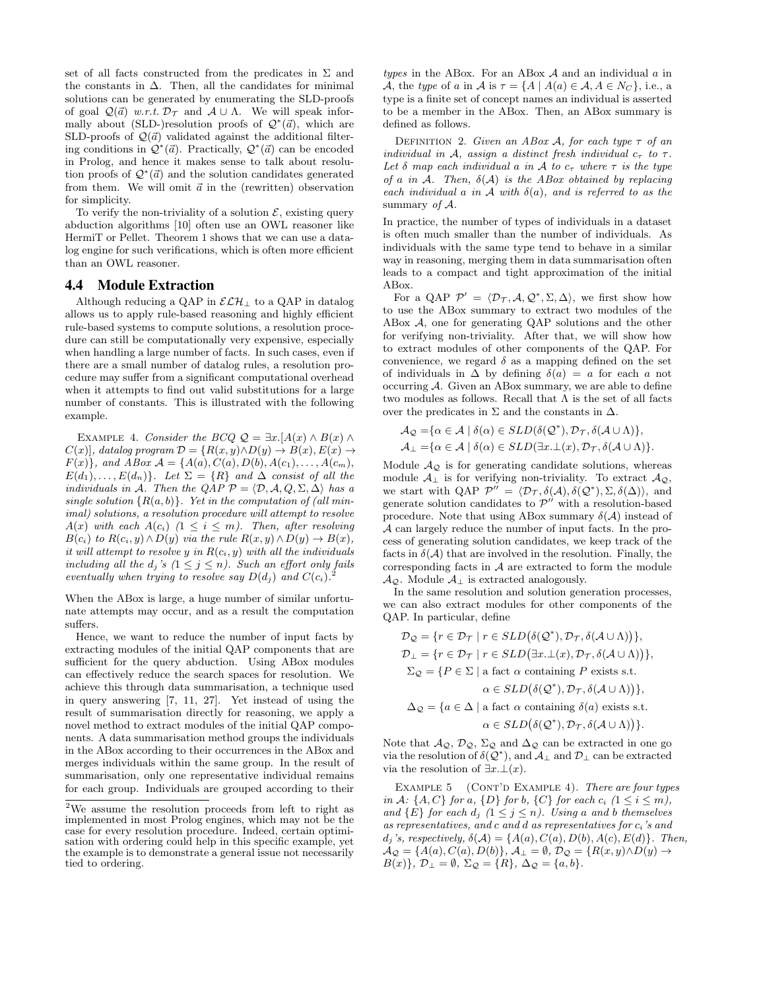set of all facts constructed from the predicates in  $\Sigma$  and the constants in  $\Delta$ . Then, all the candidates for minimal solutions can be generated by enumerating the SLD-proofs of goal  $\mathcal{Q}(\vec{a})$  w.r.t.  $\mathcal{D}_{\mathcal{T}}$  and  $\mathcal{A} \cup \Lambda$ . We will speak informally about (SLD-)resolution proofs of  $\mathcal{Q}^*(\vec{a})$ , which are SLD-proofs of  $\mathcal{Q}(\vec{a})$  validated against the additional filtering conditions in  $\mathcal{Q}^*(\vec{a})$ . Practically,  $\mathcal{Q}^*(\vec{a})$  can be encoded in Prolog, and hence it makes sense to talk about resolution proofs of  $\mathcal{Q}^*(\vec{a})$  and the solution candidates generated from them. We will omit  $\vec{a}$  in the (rewritten) observation for simplicity.

To verify the non-triviality of a solution  $\mathcal{E}$ , existing query abduction algorithms [10] often use an OWL reasoner like HermiT or Pellet. Theorem 1 shows that we can use a datalog engine for such verifications, which is often more efficient than an OWL reasoner.

#### 4.4 Module Extraction

Although reducing a QAP in  $\mathcal{ELH}_\perp$  to a QAP in datalog allows us to apply rule-based reasoning and highly efficient rule-based systems to compute solutions, a resolution procedure can still be computationally very expensive, especially when handling a large number of facts. In such cases, even if there are a small number of datalog rules, a resolution procedure may suffer from a significant computational overhead when it attempts to find out valid substitutions for a large number of constants. This is illustrated with the following example.

EXAMPLE 4. Consider the BCQ  $\mathcal{Q} = \exists x . [A(x) \wedge B(x) \wedge B(x)]$  $C(x)$ , datalog program  $\mathcal{D} = \{R(x, y) \wedge D(y) \rightarrow B(x), E(x) \rightarrow$  $F(x)$ , and ABox  $A = \{A(a), C(a), D(b), A(c_1), \ldots, A(c_m),$  $E(d_1), \ldots, E(d_n)$ . Let  $\Sigma = \{R\}$  and  $\Delta$  consist of all the individuals in A. Then the QAP  $\mathcal{P} = \langle \mathcal{D}, \mathcal{A}, Q, \Sigma, \Delta \rangle$  has a single solution  $\{R(a, b)\}\$ . Yet in the computation of (all minimal) solutions, a resolution procedure will attempt to resolve  $A(x)$  with each  $A(c_i)$   $(1 \leq i \leq m)$ . Then, after resolving  $B(c_i)$  to  $R(c_i, y) \wedge D(y)$  via the rule  $R(x, y) \wedge D(y) \rightarrow B(x)$ , it will attempt to resolve y in  $R(c_i, y)$  with all the individuals including all the  $d_j$ 's  $(1 \leq j \leq n)$ . Such an effort only fails eventually when trying to resolve say  $D(d_j)$  and  $C(c_i)$ .

When the ABox is large, a huge number of similar unfortunate attempts may occur, and as a result the computation suffers.

Hence, we want to reduce the number of input facts by extracting modules of the initial QAP components that are sufficient for the query abduction. Using ABox modules can effectively reduce the search spaces for resolution. We achieve this through data summarisation, a technique used in query answering [7, 11, 27]. Yet instead of using the result of summarisation directly for reasoning, we apply a novel method to extract modules of the initial QAP components. A data summarisation method groups the individuals in the ABox according to their occurrences in the ABox and merges individuals within the same group. In the result of summarisation, only one representative individual remains for each group. Individuals are grouped according to their types in the ABox. For an ABox  $A$  and an individual  $a$  in A, the type of a in A is  $\tau = \{A \mid A(a) \in \mathcal{A}, A \in N_C\}$ , i.e., a type is a finite set of concept names an individual is asserted to be a member in the ABox. Then, an ABox summary is defined as follows.

DEFINITION 2. Given an ABox A, for each type  $\tau$  of an individual in A, assign a distinct fresh individual  $c_{\tau}$  to  $\tau$ . Let  $\delta$  map each individual a in A to  $c_{\tau}$  where  $\tau$  is the type of a in A. Then,  $\delta(A)$  is the ABox obtained by replacing each individual a in  $\mathcal A$  with  $\delta(a)$ , and is referred to as the summary of  $A$ .

In practice, the number of types of individuals in a dataset is often much smaller than the number of individuals. As individuals with the same type tend to behave in a similar way in reasoning, merging them in data summarisation often leads to a compact and tight approximation of the initial ABox.

For a QAP  $\mathcal{P}' = \langle \mathcal{D}_{\mathcal{T}}, \mathcal{A}, \mathcal{Q}^*, \Sigma, \Delta \rangle$ , we first show how to use the ABox summary to extract two modules of the ABox  $A$ , one for generating QAP solutions and the other for verifying non-triviality. After that, we will show how to extract modules of other components of the QAP. For convenience, we regard  $\delta$  as a mapping defined on the set of individuals in  $\Delta$  by defining  $\delta(a) = a$  for each a not occurring A. Given an ABox summary, we are able to define two modules as follows. Recall that  $\Lambda$  is the set of all facts over the predicates in  $\Sigma$  and the constants in  $\Delta$ .

$$
\mathcal{A}_{\mathcal{Q}} = {\alpha \in \mathcal{A} \mid \delta(\alpha) \in SLD(\delta(\mathcal{Q}^*), \mathcal{D}_{\mathcal{T}}, \delta(\mathcal{A} \cup \Lambda)}, \mathcal{A}_{\perp} = {\alpha \in \mathcal{A} \mid \delta(\alpha) \in SLD(\exists x. \perp(x), \mathcal{D}_{\mathcal{T}}, \delta(\mathcal{A} \cup \Lambda)}.
$$

Module  $A_{\mathcal{Q}}$  is for generating candidate solutions, whereas module  $\mathcal{A}_{\perp}$  is for verifying non-triviality. To extract  $\mathcal{A}_{\mathcal{Q}},$ we start with QAP  $\mathcal{P}'' = \langle \mathcal{D}_{\mathcal{T}}, \delta(\mathcal{A}), \delta(\mathcal{Q}^*), \Sigma, \delta(\Delta) \rangle$ , and generate solution candidates to  $\mathcal{P}''$  with a resolution-based procedure. Note that using ABox summary  $\delta(A)$  instead of A can largely reduce the number of input facts. In the process of generating solution candidates, we keep track of the facts in  $\delta(A)$  that are involved in the resolution. Finally, the corresponding facts in  $A$  are extracted to form the module  $\mathcal{A}_{\mathcal{Q}}$ . Module  $\mathcal{A}_{\perp}$  is extracted analogously.

In the same resolution and solution generation processes, we can also extract modules for other components of the QAP. In particular, define

$$
\mathcal{D}_{\mathcal{Q}} = \{r \in \mathcal{D}_{\mathcal{T}} \mid r \in SLD(\delta(\mathcal{Q}^*), \mathcal{D}_{\mathcal{T}}, \delta(\mathcal{A} \cup \Lambda))\},\
$$
  

$$
\mathcal{D}_{\perp} = \{r \in \mathcal{D}_{\mathcal{T}} \mid r \in SLD(\exists x \dots \bot(x), \mathcal{D}_{\mathcal{T}}, \delta(\mathcal{A} \cup \Lambda))\},\
$$
  

$$
\Sigma_{\mathcal{Q}} = \{P \in \Sigma \mid \text{a fact } \alpha \text{ containing } P \text{ exists s.t.}\}
$$
  

$$
\alpha \in SLD(\delta(\mathcal{Q}^*), \mathcal{D}_{\mathcal{T}}, \delta(\mathcal{A} \cup \Lambda))\},\
$$
  

$$
\Delta_{\mathcal{Q}} = \{a \in \Delta \mid \text{a fact } \alpha \text{ containing } \delta(a) \text{ exists s.t.}\}
$$
  

$$
\alpha \in SLD(\delta(\mathcal{Q}^*), \mathcal{D}_{\mathcal{T}}, \delta(\mathcal{A} \cup \Lambda))\}.
$$

Note that  $\mathcal{A}_{\mathcal{Q}}, \mathcal{D}_{\mathcal{Q}}, \Sigma_{\mathcal{Q}}$  and  $\Delta_{\mathcal{Q}}$  can be extracted in one go via the resolution of  $\delta(Q^*)$ , and  $\mathcal{A}_{\perp}$  and  $\mathcal{D}_{\perp}$  can be extracted via the resolution of  $\exists x.\bot(x)$ .

EXAMPLE  $5$  (CONT'D EXAMPLE 4). There are four types in A:  $\{A, C\}$  for a,  $\{D\}$  for b,  $\{C\}$  for each  $c_i$   $(1 \leq i \leq m)$ , and  $\{E\}$  for each  $d_j$   $(1 \leq j \leq n)$ . Using a and b themselves as representatives, and c and d as representatives for  $c_i$ 's and  $d_j$ 's, respectively,  $\delta(\mathcal{A}) = \{A(a), C(a), D(b), A(c), E(d)\}.$  Then,  $\mathcal{A}_{\mathcal{Q}} = \{A(a), C(a), D(b)\}, \mathcal{A}_{\perp} = \emptyset, \mathcal{D}_{\mathcal{Q}} = \{R(x, y) \wedge D(y) \rightarrow$  $B(x)$ ,  $\mathcal{D}_{\perp} = \emptyset$ ,  $\Sigma_{\mathcal{Q}} = \{R\}$ ,  $\Delta_{\mathcal{Q}} = \{a, b\}$ .

<sup>2</sup>We assume the resolution proceeds from left to right as implemented in most Prolog engines, which may not be the case for every resolution procedure. Indeed, certain optimisation with ordering could help in this specific example, yet the example is to demonstrate a general issue not necessarily tied to ordering.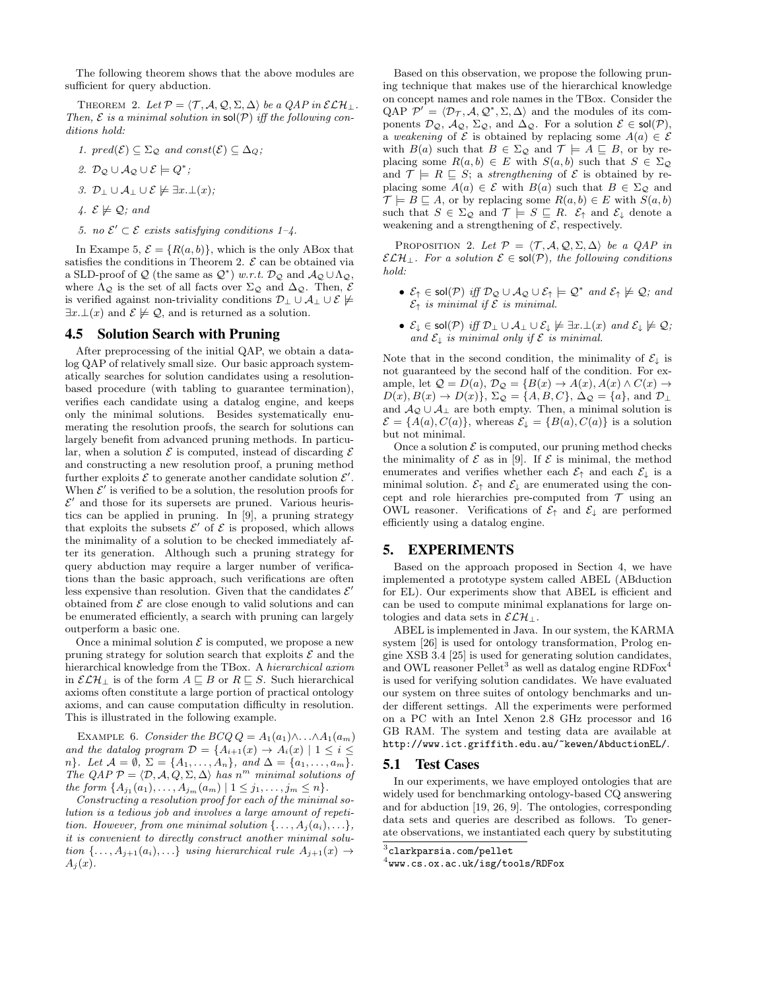The following theorem shows that the above modules are sufficient for query abduction.

THEOREM 2. Let  $\mathcal{P} = \langle \mathcal{T}, \mathcal{A}, \mathcal{Q}, \Sigma, \Delta \rangle$  be a  $QAP$  in  $\mathcal{ELH}_\perp$ . Then,  $\mathcal E$  is a minimal solution in  $\text{sol}(\mathcal P)$  iff the following conditions hold:

- 1. pred $(\mathcal{E}) \subseteq \Sigma_{\mathcal{Q}}$  and const $(\mathcal{E}) \subseteq \Delta_{\mathcal{Q}}$ ;
- 2.  $\mathcal{D}_{\mathcal{Q}} \cup \mathcal{A}_{\mathcal{Q}} \cup \mathcal{E} \models Q^*;$
- 3.  $\mathcal{D}_\perp \cup \mathcal{A}_\perp \cup \mathcal{E} \not\models \exists x.\bot(x);$
- 4.  $\mathcal{E} \not\models \mathcal{Q}$ ; and
- 5. no  $\mathcal{E}' \subset \mathcal{E}$  exists satisfying conditions 1-4.

In Exampe 5,  $\mathcal{E} = \{R(a, b)\}\$ , which is the only ABox that satisfies the conditions in Theorem 2.  $\mathcal E$  can be obtained via a SLD-proof of Q (the same as  $Q^*$ ) w.r.t.  $\mathcal{D}_Q$  and  $\mathcal{A}_Q \cup \Lambda_Q$ , where  $\Lambda_{\mathcal{Q}}$  is the set of all facts over  $\Sigma_{\mathcal{Q}}$  and  $\Delta_{\mathcal{Q}}$ . Then,  $\mathcal E$ is verified against non-triviality conditions  $\mathcal{D}_\perp \cup \mathcal{A}_\perp \cup \mathcal{E} \not\models$  $\exists x \bot(x)$  and  $\mathcal{E} \not\models \mathcal{Q}$ , and is returned as a solution.

## 4.5 Solution Search with Pruning

After preprocessing of the initial QAP, we obtain a datalog QAP of relatively small size. Our basic approach systematically searches for solution candidates using a resolutionbased procedure (with tabling to guarantee termination), verifies each candidate using a datalog engine, and keeps only the minimal solutions. Besides systematically enumerating the resolution proofs, the search for solutions can largely benefit from advanced pruning methods. In particular, when a solution  $\mathcal E$  is computed, instead of discarding  $\mathcal E$ and constructing a new resolution proof, a pruning method further exploits  $\mathcal E$  to generate another candidate solution  $\mathcal E'$ . When  $\mathcal{E}'$  is verified to be a solution, the resolution proofs for  $\mathcal{E}'$  and those for its supersets are pruned. Various heuristics can be applied in pruning. In [9], a pruning strategy that exploits the subsets  $\mathcal{E}'$  of  $\mathcal{E}$  is proposed, which allows the minimality of a solution to be checked immediately after its generation. Although such a pruning strategy for query abduction may require a larger number of verifications than the basic approach, such verifications are often less expensive than resolution. Given that the candidates  $\mathcal{E}'$ obtained from  $\mathcal E$  are close enough to valid solutions and can be enumerated efficiently, a search with pruning can largely outperform a basic one.

Once a minimal solution  $\mathcal E$  is computed, we propose a new pruning strategy for solution search that exploits  $\mathcal E$  and the hierarchical knowledge from the TBox. A hierarchical axiom in  $\mathcal{ELH}_\perp$  is of the form  $A \sqsubseteq B$  or  $R \sqsubseteq S$ . Such hierarchical axioms often constitute a large portion of practical ontology axioms, and can cause computation difficulty in resolution. This is illustrated in the following example.

EXAMPLE 6. Consider the BCQ  $Q = A_1(a_1) \wedge \ldots \wedge A_1(a_m)$ and the datalog program  $\mathcal{D} = \{A_{i+1}(x) \rightarrow A_i(x) \mid 1 \leq i \leq \mathcal{D}\}$ n}. Let  $\mathcal{A} = \emptyset$ ,  $\Sigma = \{A_1, \ldots, A_n\}$ , and  $\Delta = \{a_1, \ldots, a_m\}$ . The QAP  $P = \langle \mathcal{D}, \mathcal{A}, Q, \Sigma, \Delta \rangle$  has n<sup>m</sup> minimal solutions of the form  $\{A_{j_1}(a_1),...,A_{j_m}(a_m) | 1 \leq j_1,...,j_m \leq n\}.$ 

Constructing a resolution proof for each of the minimal solution is a tedious job and involves a large amount of repetition. However, from one minimal solution  $\{\ldots, A_i(a_i), \ldots\},\$ it is convenient to directly construct another minimal solution  $\{\ldots, A_{i+1}(a_i), \ldots\}$  using hierarchical rule  $A_{i+1}(x) \rightarrow$  $A_i(x)$ .

Based on this observation, we propose the following pruning technique that makes use of the hierarchical knowledge on concept names and role names in the TBox. Consider the QAP  $\mathcal{P}' = \langle \mathcal{D}_{\mathcal{T}}, \mathcal{A}, \mathcal{Q}^*, \Sigma, \Delta \rangle$  and the modules of its components  $\mathcal{D}_{\mathcal{Q}}, \mathcal{A}_{\mathcal{Q}}, \Sigma_{\mathcal{Q}},$  and  $\Delta_{\mathcal{Q}}$ . For a solution  $\mathcal{E} \in \mathsf{sol}(\mathcal{P}),$ a weakening of  $\mathcal E$  is obtained by replacing some  $A(a) \in \mathcal E$ with  $B(a)$  such that  $B \in \Sigma_{\mathcal{Q}}$  and  $\mathcal{T} \models A \sqsubseteq B$ , or by replacing some  $R(a, b) \in E$  with  $S(a, b)$  such that  $S \in \Sigma_{\mathcal{Q}}$ and  $\mathcal{T} \models R \sqsubseteq S$ ; a strengthening of  $\mathcal{E}$  is obtained by replacing some  $A(a) \in \mathcal{E}$  with  $B(a)$  such that  $B \in \Sigma_{\mathcal{Q}}$  and  $\mathcal{T} \models B \sqsubseteq A$ , or by replacing some  $R(a, b) \in E$  with  $S(a, b)$ such that  $S \in \Sigma_{\mathcal{Q}}$  and  $\mathcal{T} \models S \sqsubseteq R$ .  $\mathcal{E}_{\uparrow}$  and  $\mathcal{E}_{\downarrow}$  denote a weakening and a strengthening of  $\mathcal{E}$ , respectively.

PROPOSITION 2. Let  $\mathcal{P} = \langle \mathcal{T}, \mathcal{A}, \mathcal{Q}, \Sigma, \Delta \rangle$  be a QAP in  $\mathcal{ELH}_\perp$ . For a solution  $\mathcal{E} \in sol(\mathcal{P})$ , the following conditions hold:

- $\mathcal{E}_{\uparrow} \in \mathsf{sol}(\mathcal{P})$  iff  $\mathcal{D}_{\mathcal{Q}} \cup \mathcal{A}_{\mathcal{Q}} \cup \mathcal{E}_{\uparrow} \models \mathcal{Q}^*$  and  $\mathcal{E}_{\uparrow} \not\models \mathcal{Q}$ ; and  $\mathcal{E}_{\uparrow}$  is minimal if  $\mathcal E$  is minimal.
- $\mathcal{E}_\downarrow \in \mathsf{sol}(\mathcal{P}) \; \mathit{iff} \; \mathcal{D}_\perp \cup \mathcal{A}_\perp \cup \mathcal{E}_\downarrow \not\models \exists x.\bot(x) \; \mathit{and} \; \mathcal{E}_\downarrow \not\models \mathcal{Q};$ and  $\mathcal{E}_{\downarrow}$  is minimal only if  $\mathcal E$  is minimal.

Note that in the second condition, the minimality of  $\mathcal{E}_{\downarrow}$  is not guaranteed by the second half of the condition. For example, let  $\mathcal{Q} = D(a), \mathcal{D}_{\mathcal{Q}} = \{B(x) \to A(x), A(x) \land C(x) \to A(x)\}$  $D(x), B(x) \to D(x)$ ,  $\Sigma_{\mathcal{Q}} = \{A, B, C\}$ ,  $\Delta_{\mathcal{Q}} = \{a\}$ , and  $\mathcal{D}_{\perp}$ and  $A_{\mathcal{Q}} \cup A_{\perp}$  are both empty. Then, a minimal solution is  $\mathcal{E} = \{A(a), C(a)\}\$ , whereas  $\mathcal{E}_{\downarrow} = \{B(a), C(a)\}\$ is a solution but not minimal.

Once a solution  $\mathcal E$  is computed, our pruning method checks the minimality of  $\mathcal E$  as in [9]. If  $\mathcal E$  is minimal, the method enumerates and verifies whether each  $\mathcal{E}_{\uparrow}$  and each  $\mathcal{E}_{\downarrow}$  is a minimal solution.  $\mathcal{E}_{\uparrow}$  and  $\mathcal{E}_{\downarrow}$  are enumerated using the concept and role hierarchies pre-computed from  $\mathcal T$  using an OWL reasoner. Verifications of  $\mathcal{E}_{\uparrow}$  and  $\mathcal{E}_{\downarrow}$  are performed efficiently using a datalog engine.

#### 5. EXPERIMENTS

Based on the approach proposed in Section 4, we have implemented a prototype system called ABEL (ABduction for EL). Our experiments show that ABEL is efficient and can be used to compute minimal explanations for large ontologies and data sets in  $\mathcal{ELH}$ ⊥.

ABEL is implemented in Java. In our system, the KARMA system [26] is used for ontology transformation, Prolog engine XSB 3.4 [25] is used for generating solution candidates, and OWL reasoner  $\text{Pellet}^{3}$  as well as datalog engine  $\text{RDFox}^{4}$ is used for verifying solution candidates. We have evaluated our system on three suites of ontology benchmarks and under different settings. All the experiments were performed on a PC with an Intel Xenon 2.8 GHz processor and 16 GB RAM. The system and testing data are available at http://www.ict.griffith.edu.au/~kewen/AbductionEL/.

#### 5.1 Test Cases

In our experiments, we have employed ontologies that are widely used for benchmarking ontology-based CQ answering and for abduction [19, 26, 9]. The ontologies, corresponding data sets and queries are described as follows. To generate observations, we instantiated each query by substituting

 $^3$ clarkparsia.com/pellet

<sup>4</sup> www.cs.ox.ac.uk/isg/tools/RDFox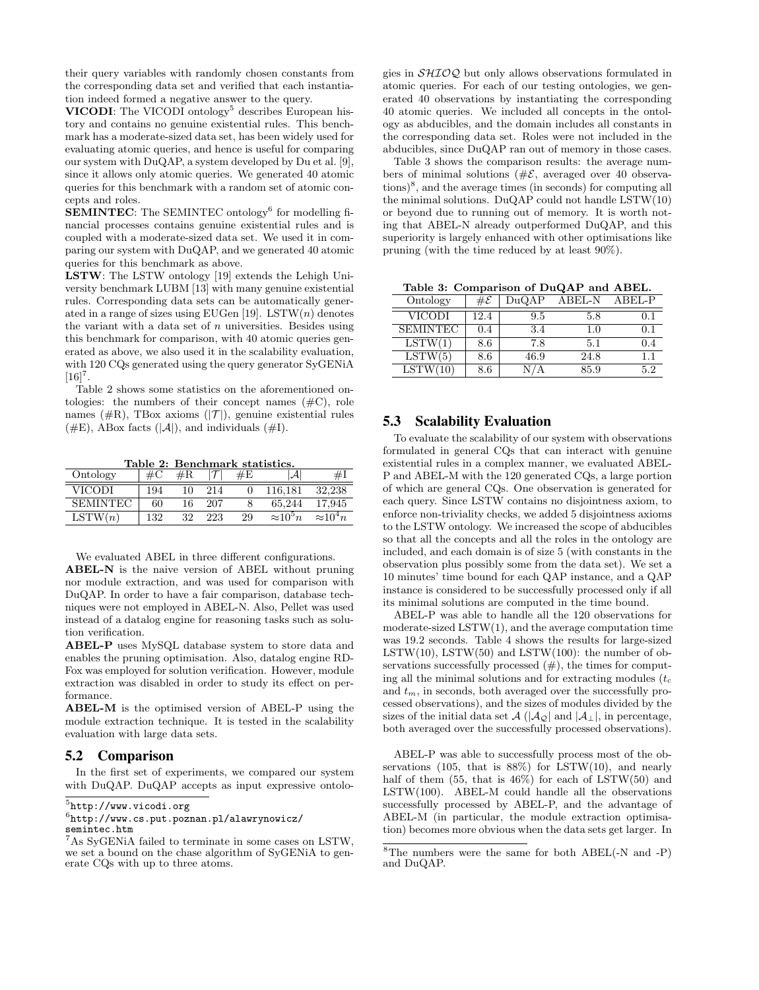their query variables with randomly chosen constants from the corresponding data set and verified that each instantiation indeed formed a negative answer to the query.

VICODI: The VICODI ontology<sup>5</sup> describes European history and contains no genuine existential rules. This benchmark has a moderate-sized data set, has been widely used for evaluating atomic queries, and hence is useful for comparing our system with DuQAP, a system developed by Du et al. [9], since it allows only atomic queries. We generated 40 atomic queries for this benchmark with a random set of atomic concepts and roles.

**SEMINTEC:** The SEMINTEC ontology<sup>6</sup> for modelling financial processes contains genuine existential rules and is coupled with a moderate-sized data set. We used it in comparing our system with DuQAP, and we generated 40 atomic queries for this benchmark as above.

LSTW: The LSTW ontology [19] extends the Lehigh University benchmark LUBM [13] with many genuine existential rules. Corresponding data sets can be automatically generated in a range of sizes using EUGen [19]. LSTW $(n)$  denotes the variant with a data set of  $n$  universities. Besides using this benchmark for comparison, with 40 atomic queries generated as above, we also used it in the scalability evaluation, with 120 CQs generated using the query generator SyGENiA  $[16]^{7}$ .

Table 2 shows some statistics on the aforementioned ontologies: the numbers of their concept names  $(\#C)$ , role names ( $\#R$ ), TBox axioms ( $|\mathcal{T}|$ ), genuine existential rules  $(\#E)$ , ABox facts  $(|A|)$ , and individuals  $(\#I)$ .

Table 2: Benchmark statistics.

| Ontology        | #C  | $\#R$ |     | #E | А                |                  |
|-----------------|-----|-------|-----|----|------------------|------------------|
| <b>VICODI</b>   | 194 | 10    | 214 |    | 116.181          | 32.238           |
| <b>SEMINTEC</b> | 60  | 16    | 207 |    | 65.244           | 17.945           |
| LSTW(n)         | 132 | 32    | 223 | 29 | $\approx 10^5 n$ | $\approx 10^4 n$ |

We evaluated ABEL in three different configurations.

ABEL-N is the naive version of ABEL without pruning nor module extraction, and was used for comparison with DuQAP. In order to have a fair comparison, database techniques were not employed in ABEL-N. Also, Pellet was used instead of a datalog engine for reasoning tasks such as solution verification.

ABEL-P uses MySQL database system to store data and enables the pruning optimisation. Also, datalog engine RD-Fox was employed for solution verification. However, module extraction was disabled in order to study its effect on performance.

ABEL-M is the optimised version of ABEL-P using the module extraction technique. It is tested in the scalability evaluation with large data sets.

#### 5.2 Comparison

In the first set of experiments, we compared our system with DuQAP. DuQAP accepts as input expressive ontolo-

 $^{5}$ http://www.vicodi.org

 $6$ http://www.cs.put.poznan.pl/alawrynowicz/ semintec.htm

gies in SHIOQ but only allows observations formulated in atomic queries. For each of our testing ontologies, we generated 40 observations by instantiating the corresponding 40 atomic queries. We included all concepts in the ontology as abducibles, and the domain includes all constants in the corresponding data set. Roles were not included in the abducibles, since DuQAP ran out of memory in those cases.

Table 3 shows the comparison results: the average numbers of minimal solutions ( $\#\mathcal{E}$ , averaged over 40 observations)<sup>8</sup> , and the average times (in seconds) for computing all the minimal solutions. DuQAP could not handle LSTW(10) or beyond due to running out of memory. It is worth noting that ABEL-N already outperformed DuQAP, and this superiority is largely enhanced with other optimisations like pruning (with the time reduced by at least 90%).

Table 3: Comparison of DuQAP and ABEL.

| Ontology        | #E    | DuQAP | <b>ABEL-N</b> | ABEL-P |
|-----------------|-------|-------|---------------|--------|
| VICODI          | 12.4  | 9.5   | 5.8           | ი 1    |
| <b>SEMINTEC</b> | (0.4) | 3.4   | 1.0           | N 1    |
| LSTW(1)         | 8.6   | 7.8   | 5.1           | (1.4)  |
| LSTW(5)         | 8.6   | 46.9  | 24.8          |        |
| LSTW(10)        | 8.6   |       | 85.9          | 52     |

#### 5.3 Scalability Evaluation

To evaluate the scalability of our system with observations formulated in general CQs that can interact with genuine existential rules in a complex manner, we evaluated ABEL-P and ABEL-M with the 120 generated CQs, a large portion of which are general CQs. One observation is generated for each query. Since LSTW contains no disjointness axiom, to enforce non-triviality checks, we added 5 disjointness axioms to the LSTW ontology. We increased the scope of abducibles so that all the concepts and all the roles in the ontology are included, and each domain is of size 5 (with constants in the observation plus possibly some from the data set). We set a 10 minutes' time bound for each QAP instance, and a QAP instance is considered to be successfully processed only if all its minimal solutions are computed in the time bound.

ABEL-P was able to handle all the 120 observations for moderate-sized LSTW(1), and the average computation time was 19.2 seconds. Table 4 shows the results for large-sized LSTW(10), LSTW(50) and LSTW(100): the number of observations successfully processed  $(\#)$ , the times for computing all the minimal solutions and for extracting modules  $(t_c)$ and  $t_m$ , in seconds, both averaged over the successfully processed observations), and the sizes of modules divided by the sizes of the initial data set  $\mathcal{A}$  ( $|\mathcal{A}_{\mathcal{Q}}|$  and  $|\mathcal{A}_{\perp}|$ , in percentage, both averaged over the successfully processed observations).

ABEL-P was able to successfully process most of the observations (105, that is 88%) for LSTW(10), and nearly half of them  $(55, \text{ that is } 46\%)$  for each of LSTW $(50)$  and  $\text{LSTM}(100)$ . ABEL-M could handle all the observations successfully processed by ABEL-P, and the advantage of ABEL-M (in particular, the module extraction optimisation) becomes more obvious when the data sets get larger. In

<sup>7</sup>As SyGENiA failed to terminate in some cases on LSTW, we set a bound on the chase algorithm of SyGENiA to generate CQs with up to three atoms.

 ${}^{8}$ The numbers were the same for both ABEL(-N and -P) and DuQAP.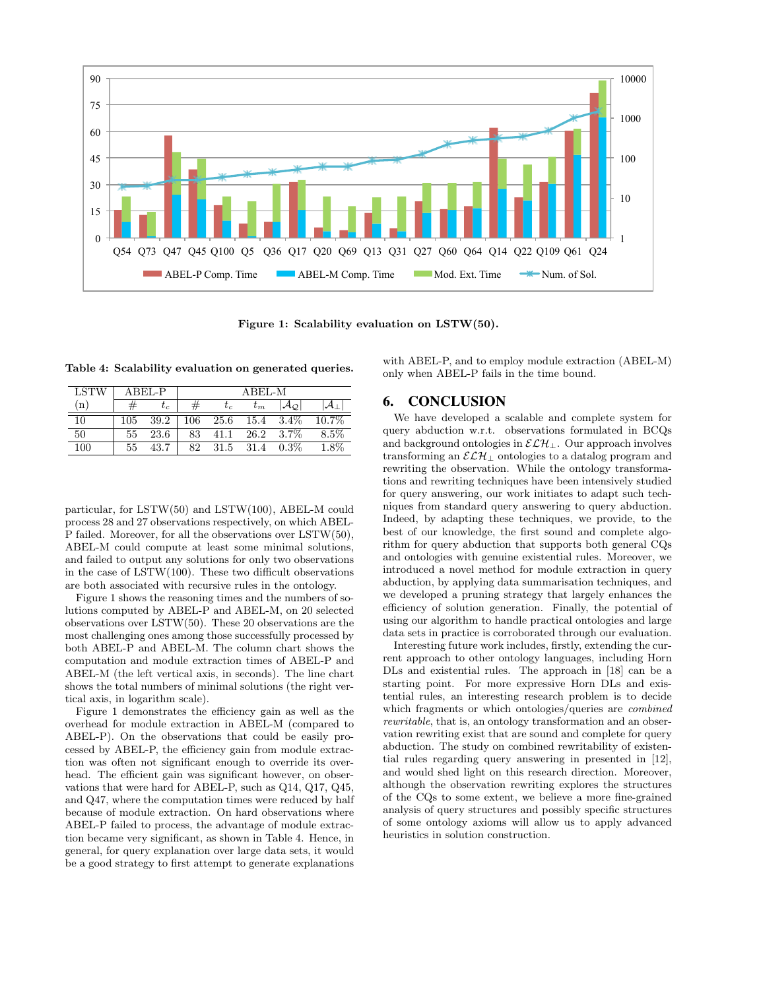

Figure 1: Scalability evaluation on LSTW(50).

Table 4: Scalability evaluation on generated queries.

| <b>LSTW</b>  |     | $A$ REL-P |    |       | $A$ REL-M |                             |          |
|--------------|-----|-----------|----|-------|-----------|-----------------------------|----------|
| $\mathbf{u}$ |     | $\iota_c$ |    | $t_c$ | $\tau_m$  | Aο                          |          |
| 10           | 105 | 39.2      |    |       |           | $106$ $25.6$ $15.4$ $3.4\%$ | $10.7\%$ |
| 50           | 55  | 23.6      | 83 | 41.1  |           | $26.2\quad 3.7\%$           | 8.5%     |
| 100          | 55  | 43.7      | 82 | 31.5  | 31.4      | $0.3\%$                     | 1.8%     |

particular, for LSTW(50) and LSTW(100), ABEL-M could process 28 and 27 observations respectively, on which ABEL-P failed. Moreover, for all the observations over LSTW(50), ABEL-M could compute at least some minimal solutions, and failed to output any solutions for only two observations in the case of LSTW(100). These two difficult observations are both associated with recursive rules in the ontology.

Figure 1 shows the reasoning times and the numbers of solutions computed by ABEL-P and ABEL-M, on 20 selected observations over LSTW(50). These 20 observations are the most challenging ones among those successfully processed by both ABEL-P and ABEL-M. The column chart shows the computation and module extraction times of ABEL-P and ABEL-M (the left vertical axis, in seconds). The line chart shows the total numbers of minimal solutions (the right vertical axis, in logarithm scale).

Figure 1 demonstrates the efficiency gain as well as the overhead for module extraction in ABEL-M (compared to ABEL-P). On the observations that could be easily processed by ABEL-P, the efficiency gain from module extraction was often not significant enough to override its overhead. The efficient gain was significant however, on observations that were hard for ABEL-P, such as Q14, Q17, Q45, and Q47, where the computation times were reduced by half because of module extraction. On hard observations where ABEL-P failed to process, the advantage of module extraction became very significant, as shown in Table 4. Hence, in general, for query explanation over large data sets, it would be a good strategy to first attempt to generate explanations with ABEL-P, and to employ module extraction (ABEL-M) only when ABEL-P fails in the time bound.

#### 6. CONCLUSION

We have developed a scalable and complete system for query abduction w.r.t. observations formulated in BCQs and background ontologies in  $\mathcal{ELH}_\bot$ . Our approach involves transforming an  $\mathcal{ELH}_\perp$  ontologies to a datalog program and rewriting the observation. While the ontology transformations and rewriting techniques have been intensively studied for query answering, our work initiates to adapt such techniques from standard query answering to query abduction. Indeed, by adapting these techniques, we provide, to the best of our knowledge, the first sound and complete algorithm for query abduction that supports both general CQs and ontologies with genuine existential rules. Moreover, we introduced a novel method for module extraction in query abduction, by applying data summarisation techniques, and we developed a pruning strategy that largely enhances the efficiency of solution generation. Finally, the potential of using our algorithm to handle practical ontologies and large data sets in practice is corroborated through our evaluation.

Interesting future work includes, firstly, extending the current approach to other ontology languages, including Horn DLs and existential rules. The approach in [18] can be a starting point. For more expressive Horn DLs and existential rules, an interesting research problem is to decide which fragments or which ontologies/queries are *combined* rewritable, that is, an ontology transformation and an observation rewriting exist that are sound and complete for query abduction. The study on combined rewritability of existential rules regarding query answering in presented in [12], and would shed light on this research direction. Moreover, although the observation rewriting explores the structures of the CQs to some extent, we believe a more fine-grained analysis of query structures and possibly specific structures of some ontology axioms will allow us to apply advanced heuristics in solution construction.